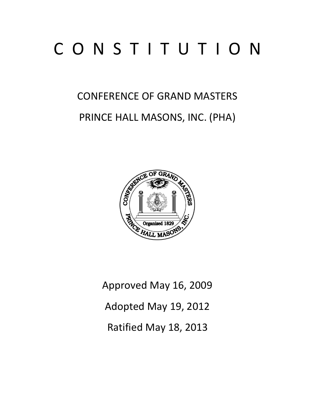# CONSTITUTION

## CONFERENCE OF GRAND MASTERS PRINCE HALL MASONS, INC. (PHA)



Approved May 16, 2009 Adopted May 19, 2012 Ratified May 18, 2013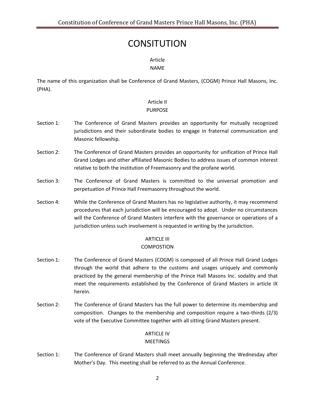## **CONSITUTION**

### Article

#### NAME

The name of this organization shall be Conference of Grand Masters, (COGM) Prince Hall Masons, Inc. (PHA).

#### Article II PURPOSE

- Section 1: The Conference of Grand Masters provides an opportunity for mutually recognized jurisdictions and their subordinate bodies to engage in fraternal communication and Masonic fellowship.
- Section 2: The Conference of Grand Masters provides an opportunity for unification of Prince Hall Grand Lodges and other affiliated Masonic Bodies to address issues of common interest relative to both the institution of Freemasonry and the profane world.
- Section 3: The Conference of Grand Masters is committed to the universal promotion and perpetuation of Prince Hall Freemasonry throughout the world.
- Section 4: While the Conference of Grand Masters has no legislative authority, it may recommend procedures that each jurisdiction will be encouraged to adopt. Under no circumstances will the Conference of Grand Masters interfere with the governance or operations of a jurisdiction unless such involvement is requested in writing by the jurisdiction.

#### ARTICLE III

#### COMPOSTION

- Section 1: The Conference of Grand Masters (COGM) is composed of all Prince Hall Grand Lodges through the world that adhere to the customs and usages uniquely and commonly practiced by the general membership of the Prince Hall Masons Inc. sodality and that meet the requirements established by the Conference of Grand Masters in article IX herein.
- Section 2: The Conference of Grand Masters has the full power to determine its membership and composition. Changes to the membership and composition require a two-thirds (2/3) vote of the Executive Committee together with all sitting Grand Masters present.

#### ARTICLE IV

#### MEETINGS

Section 1: The Conference of Grand Masters shall meet annually beginning the Wednesday after Mother's Day. This meeting shall be referred to as the Annual Conference.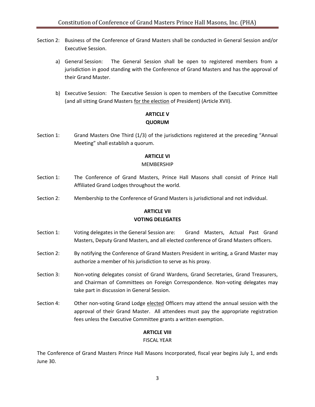- Section 2: Business of the Conference of Grand Masters shall be conducted in General Session and/or Executive Session.
	- a) General Session: The General Session shall be open to registered members from a jurisdiction in good standing with the Conference of Grand Masters and has the approval of their Grand Master.
	- b) Executive Session: The Executive Session is open to members of the Executive Committee (and all sitting Grand Masters for the election of President) (Article XVII).

#### **ARTICLE V QUORUM**

Section 1: Grand Masters One Third (1/3) of the jurisdictions registered at the preceding "Annual Meeting" shall establish a quorum.

#### **ARTICLE VI**

#### MEMBERSHIP

- Section 1: The Conference of Grand Masters, Prince Hall Masons shall consist of Prince Hall Affiliated Grand Lodges throughout the world.
- Section 2: Membership to the Conference of Grand Masters is jurisdictional and not individual.

#### **ARTICLE VII**

#### **VOTING DELEGATES**

- Section 1: Voting delegates in the General Session are: Grand Masters, Actual Past Grand Masters, Deputy Grand Masters, and all elected conference of Grand Masters officers.
- Section 2: By notifying the Conference of Grand Masters President in writing, a Grand Master may authorize a member of his jurisdiction to serve as his proxy.
- Section 3: Non-voting delegates consist of Grand Wardens, Grand Secretaries, Grand Treasurers, and Chairman of Committees on Foreign Correspondence. Non-voting delegates may take part in discussion in General Session.
- Section 4: Other non-voting Grand Lodge elected Officers may attend the annual session with the approval of their Grand Master. All attendees must pay the appropriate registration fees unless the Executive Committee grants a written exemption.

#### **ARTICLE VIII**

#### FISCAL YEAR

The Conference of Grand Masters Prince Hall Masons Incorporated, fiscal year begins July 1, and ends June 30.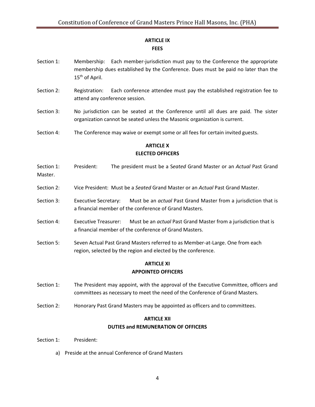#### **ARTICLE IX FEES**

- Section 1: Membership: Each member-jurisdiction must pay to the Conference the appropriate membership dues established by the Conference. Dues must be paid no later than the 15<sup>th</sup> of April.
- Section 2: Registration: Each conference attendee must pay the established registration fee to attend any conference session.
- Section 3: No jurisdiction can be seated at the Conference until all dues are paid. The sister organization cannot be seated unless the Masonic organization is current.
- Section 4: The Conference may waive or exempt some or all fees for certain invited guests.

#### **ARTICLE X ELECTED OFFICERS**

- Section 1: President: The president must be a S*eated* Grand Master or an *Actual* Past Grand Master.
- Section 2: Vice President: Must be a *Seated* Grand Master or an *Actual* Past Grand Master.
- Section 3: Executive Secretary: Must be an *actual* Past Grand Master from a jurisdiction that is a financial member of the conference of Grand Masters.
- Section 4: Executive Treasurer: Must be an *actual* Past Grand Master from a jurisdiction that is a financial member of the conference of Grand Masters.
- Section 5: Seven Actual Past Grand Masters referred to as Member-at-Large. One from each region, selected by the region and elected by the conference.

#### **ARTICLE XI APPOINTED OFFICERS**

- Section 1: The President may appoint, with the approval of the Executive Committee, officers and committees as necessary to meet the need of the Conference of Grand Masters.
- Section 2: Honorary Past Grand Masters may be appointed as officers and to committees.

#### **ARTICLE XII**

#### **DUTIES and REMUNERATION OF OFFICERS**

- Section 1: President:
	- a) Preside at the annual Conference of Grand Masters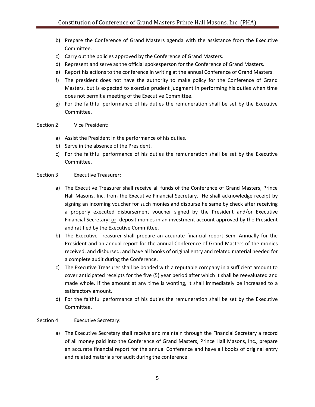- b) Prepare the Conference of Grand Masters agenda with the assistance from the Executive Committee.
- c) Carry out the policies approved by the Conference of Grand Masters.
- d) Represent and serve as the official spokesperson for the Conference of Grand Masters.
- e) Report his actions to the conference in writing at the annual Conference of Grand Masters.
- f) The president does not have the authority to make policy for the Conference of Grand Masters, but is expected to exercise prudent judgment in performing his duties when time does not permit a meeting of the Executive Committee.
- g) For the faithful performance of his duties the remuneration shall be set by the Executive Committee.
- Section 2: Vice President:
	- a) Assist the President in the performance of his duties.
	- b) Serve in the absence of the President.
	- c) For the faithful performance of his duties the remuneration shall be set by the Executive Committee.

#### Section 3: Executive Treasurer:

- a) The Executive Treasurer shall receive all funds of the Conference of Grand Masters, Prince Hall Masons, Inc. from the Executive Financial Secretary. He shall acknowledge receipt by signing an incoming voucher for such monies and disburse he same by check after receiving a properly executed disbursement voucher sighed by the President and/or Executive Financial Secretary; or deposit monies in an investment account approved by the President and ratified by the Executive Committee.
- b) The Executive Treasurer shall prepare an accurate financial report Semi Annually for the President and an annual report for the annual Conference of Grand Masters of the monies received, and disbursed, and have all books of original entry and related material needed for a complete audit during the Conference.
- c) The Executive Treasurer shall be bonded with a reputable company in a sufficient amount to cover anticipated receipts for the five (5) year period after which it shall be reevaluated and made whole. If the amount at any time is wonting, it shall immediately be increased to a satisfactory amount.
- d) For the faithful performance of his duties the remuneration shall be set by the Executive Committee.

#### Section 4: Executive Secretary:

a) The Executive Secretary shall receive and maintain through the Financial Secretary a record of all money paid into the Conference of Grand Masters, Prince Hall Masons, Inc., prepare an accurate financial report for the annual Conference and have all books of original entry and related materials for audit during the conference.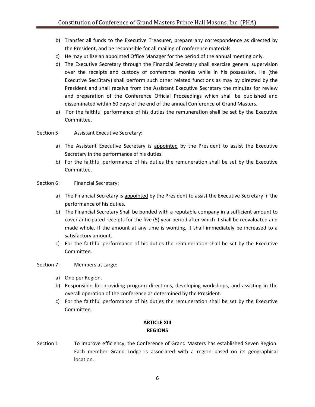- b) Transfer all funds to the Executive Treasurer, prepare any correspondence as directed by the President, and be responsible for all mailing of conference materials.
- c) He may utilize an appointed Office Manager for the period of the annual meeting only.
- d) The Executive Secretary through the Financial Secretary shall exercise general supervision over the receipts and custody of conference monies while in his possession. He (the Executive Secr3tary) shall perform such other related functions as may by directed by the President and shall receive from the Assistant Executive Secretary the minutes for review and preparation of the Conference Official Proceedings which shall be published and disseminated within 60 days of the end of the annual Conference of Grand Masters.
- e) For the faithful performance of his duties the remuneration shall be set by the Executive Committee.
- Section 5: Assistant Executive Secretary:
	- a) The Assistant Executive Secretary is appointed by the President to assist the Executive Secretary in the performance of his duties.
	- b) For the faithful performance of his duties the remuneration shall be set by the Executive Committee.

#### Section 6: Financial Secretary:

- a) The Financial Secretary is appointed by the President to assist the Executive Secretary in the performance of his duties.
- b) The Financial Secretary Shall be bonded with a reputable company in a sufficient amount to cover anticipated receipts for the five (5) year period after which it shall be reevaluated and made whole. If the amount at any time is wonting, it shall immediately be increased to a satisfactory amount.
- c) For the faithful performance of his duties the remuneration shall be set by the Executive Committee.

#### Section 7: Members at Large:

- a) One per Region.
- b) Responsible for providing program directions, developing workshops, and assisting in the overall operation of the conference as determined by the President.
- c) For the faithful performance of his duties the remuneration shall be set by the Executive Committee.

#### **ARTICLE XIII REGIONS**

Section 1: To improve efficiency, the Conference of Grand Masters has established Seven Region. Each member Grand Lodge is associated with a region based on its geographical location.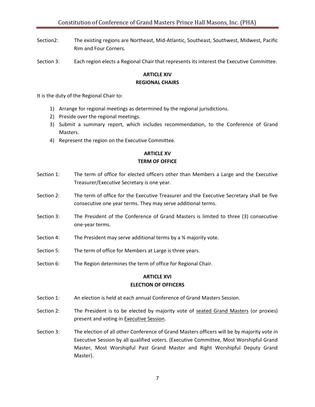- Section2: The existing regions are Northeast, Mid-Atlantic, Southeast, Southwest, Midwest, Pacific Rim and Four Corners.
- Section 3: Each region elects a Regional Chair that represents its interest the Executive Committee.

#### **ARTICLE XIV REGIONAL CHAIRS**

It is the duty of the Regional Chair to:

- 1) Arrange for regional meetings as determined by the regional jurisdictions.
- 2) Preside over the regional meetings.
- 3) Submit a summary report, which includes recommendation, to the Conference of Grand Masters.
- 4) Represent the region on the Executive Committee.

#### **ARTICLE XV TERM OF OFFICE**

- Section 1: The term of office for elected officers other than Members a Large and the Executive Treasurer/Executive Secretary is one year.
- Section 2: The term of office for the Executive Treasurer and the Executive Secretary shall be five consecutive one year terms. They may serve additional terms.
- Section 3: The President of the Conference of Grand Masters is limited to three (3) consecutive one-year terms.
- Section 4: The President may serve additional terms by a % majority vote.
- Section 5: The term of office for Members at Large is three years.
- Section 6: The Region determines the term of office for Regional Chair.

#### **ARTICLE XVI ELECTION OF OFFICERS**

- Section 1: An election is held at each annual Conference of Grand Masters Session.
- Section 2: The President is to be elected by majority vote of seated Grand Masters (or proxies) present and voting in **Executive Session**.
- Section 3: The election of all other Conference of Grand Masters officers will be by majority vote in Executive Session by all qualified voters. (Executive Committee, Most Worshipful Grand Master, Most Worshipful Past Grand Master and Right Worshipful Deputy Grand Master).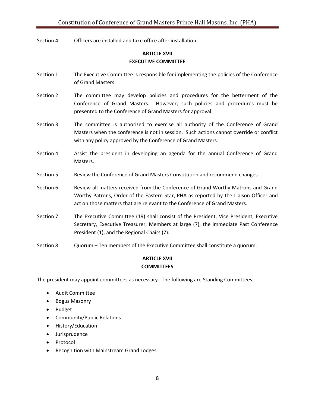Section 4: Officers are installed and take office after installation.

#### **ARTICLE XVII EXECUTIVE COMMITTEE**

- Section 1: The Executive Committee is responsible for implementing the policies of the Conference of Grand Masters.
- Section 2: The committee may develop policies and procedures for the betterment of the Conference of Grand Masters. However, such policies and procedures must be presented to the Conference of Grand Masters for approval.
- Section 3: The committee is authorized to exercise all authority of the Conference of Grand Masters when the conference is not in session. Such actions cannot override or conflict with any policy approved by the Conference of Grand Masters.
- Section 4: Assist the president in developing an agenda for the annual Conference of Grand Masters.
- Section 5: Review the Conference of Grand Masters Constitution and recommend changes.
- Section 6: Review all matters received from the Conference of Grand Worthy Matrons and Grand Worthy Patrons, Order of the Eastern Star, PHA as reported by the Liaison Officer and act on those matters that are relevant to the Conference of Grand Masters.
- Section 7: The Executive Committee (19) shall consist of the President, Vice President, Executive Secretary, Executive Treasurer, Members at large (7), the immediate Past Conference President (1), and the Regional Chairs (7).
- Section 8: Quorum Ten members of the Executive Committee shall constitute a quorum.

#### **ARTICLE XVII COMMITTEES**

The president may appoint committees as necessary. The following are Standing Committees:

- **•** Audit Committee
- Bogus Masonry
- Budget
- Community/Public Relations
- History/Education
- Jurisprudence
- Protocol
- Recognition with Mainstream Grand Lodges